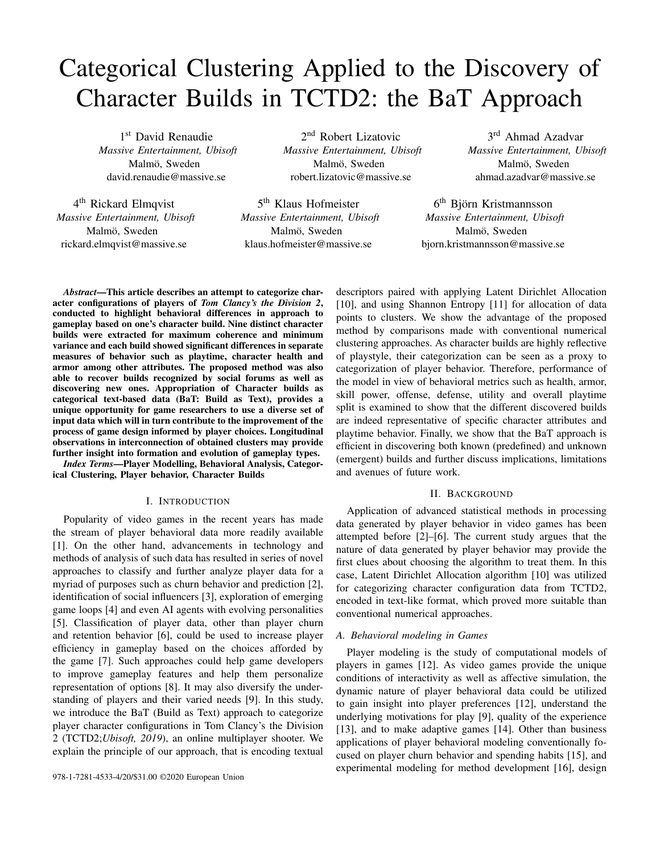# Categorical Clustering Applied to the Discovery of Character Builds in TCTD2: the BaT Approach

1st David Renaudie *Massive Entertainment, Ubisoft* Malmö, Sweden david.renaudie@massive.se

4 th Rickard Elmqvist *Massive Entertainment, Ubisoft* Malmö, Sweden rickard.elmqvist@massive.se

2<sup>nd</sup> Robert Lizatovic *Massive Entertainment, Ubisoft* Malmö, Sweden robert.lizatovic@massive.se

5 th Klaus Hofmeister *Massive Entertainment, Ubisoft* Malmö, Sweden klaus.hofmeister@massive.se

3<sup>rd</sup> Ahmad Azadvar *Massive Entertainment, Ubisoft* Malmö, Sweden ahmad.azadvar@massive.se

6<sup>th</sup> Björn Kristmannsson *Massive Entertainment, Ubisoft* Malmö, Sweden bjorn.kristmannsson@massive.se

*Abstract*—This article describes an attempt to categorize character configurations of players of *Tom Clancy's the Division 2*, conducted to highlight behavioral differences in approach to gameplay based on one's character build. Nine distinct character builds were extracted for maximum coherence and minimum variance and each build showed significant differences in separate measures of behavior such as playtime, character health and armor among other attributes. The proposed method was also able to recover builds recognized by social forums as well as discovering new ones. Appropriation of Character builds as categorical text-based data (BaT: Build as Text), provides a unique opportunity for game researchers to use a diverse set of input data which will in turn contribute to the improvement of the process of game design informed by player choices. Longitudinal observations in interconnection of obtained clusters may provide further insight into formation and evolution of gameplay types. *Index Terms*—Player Modelling, Behavioral Analysis, Categor-

ical Clustering, Player behavior, Character Builds

## I. INTRODUCTION

Popularity of video games in the recent years has made the stream of player behavioral data more readily available [1]. On the other hand, advancements in technology and methods of analysis of such data has resulted in series of novel approaches to classify and further analyze player data for a myriad of purposes such as churn behavior and prediction [2], identification of social influencers [3], exploration of emerging game loops [4] and even AI agents with evolving personalities [5]. Classification of player data, other than player churn and retention behavior [6], could be used to increase player efficiency in gameplay based on the choices afforded by the game [7]. Such approaches could help game developers to improve gameplay features and help them personalize representation of options [8]. It may also diversify the understanding of players and their varied needs [9]. In this study, we introduce the BaT (Build as Text) approach to categorize player character configurations in Tom Clancy's the Division 2 (TCTD2;*Ubisoft, 2019*), an online multiplayer shooter. We explain the principle of our approach, that is encoding textual

descriptors paired with applying Latent Dirichlet Allocation [10], and using Shannon Entropy [11] for allocation of data points to clusters. We show the advantage of the proposed method by comparisons made with conventional numerical clustering approaches. As character builds are highly reflective of playstyle, their categorization can be seen as a proxy to categorization of player behavior. Therefore, performance of the model in view of behavioral metrics such as health, armor, skill power, offense, defense, utility and overall playtime split is examined to show that the different discovered builds are indeed representative of specific character attributes and playtime behavior. Finally, we show that the BaT approach is efficient in discovering both known (predefined) and unknown (emergent) builds and further discuss implications, limitations and avenues of future work.

# II. BACKGROUND

Application of advanced statistical methods in processing data generated by player behavior in video games has been attempted before [2]–[6]. The current study argues that the nature of data generated by player behavior may provide the first clues about choosing the algorithm to treat them. In this case, Latent Dirichlet Allocation algorithm [10] was utilized for categorizing character configuration data from TCTD2, encoded in text-like format, which proved more suitable than conventional numerical approaches.

#### *A. Behavioral modeling in Games*

Player modeling is the study of computational models of players in games [12]. As video games provide the unique conditions of interactivity as well as affective simulation, the dynamic nature of player behavioral data could be utilized to gain insight into player preferences [12], understand the underlying motivations for play [9], quality of the experience [13], and to make adaptive games [14]. Other than business applications of player behavioral modeling conventionally focused on player churn behavior and spending habits [15], and experimental modeling for method development [16], design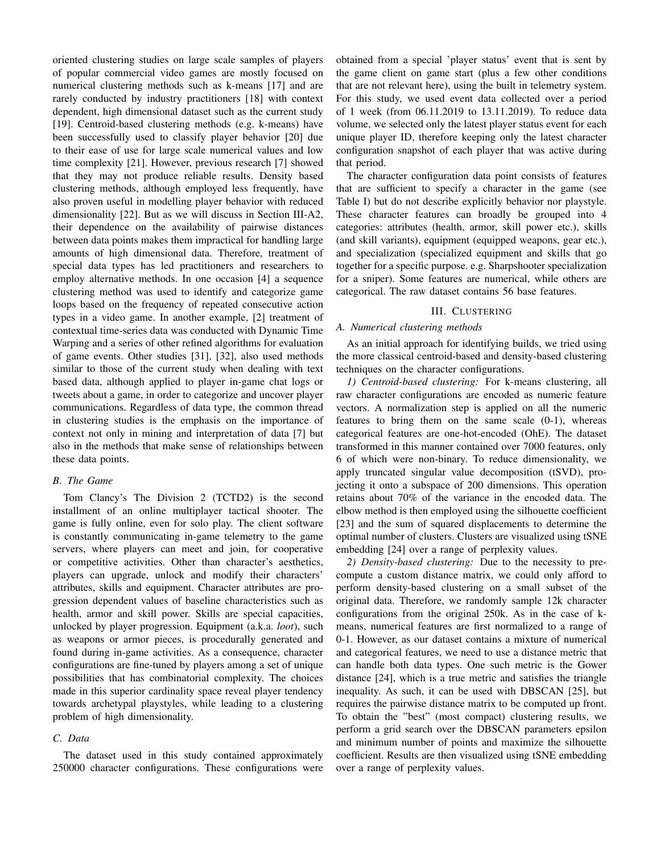oriented clustering studies on large scale samples of players of popular commercial video games are mostly focused on numerical clustering methods such as k-means [17] and are rarely conducted by industry practitioners [18] with context dependent, high dimensional dataset such as the current study [19]. Centroid-based clustering methods (e.g. k-means) have been successfully used to classify player behavior [20] due to their ease of use for large scale numerical values and low time complexity [21]. However, previous research [7] showed that they may not produce reliable results. Density based clustering methods, although employed less frequently, have also proven useful in modelling player behavior with reduced dimensionality [22]. But as we will discuss in Section III-A2, their dependence on the availability of pairwise distances between data points makes them impractical for handling large amounts of high dimensional data. Therefore, treatment of special data types has led practitioners and researchers to employ alternative methods. In one occasion [4] a sequence clustering method was used to identify and categorize game loops based on the frequency of repeated consecutive action types in a video game. In another example, [2] treatment of contextual time-series data was conducted with Dynamic Time Warping and a series of other refined algorithms for evaluation of game events. Other studies [31], [32], also used methods similar to those of the current study when dealing with text based data, although applied to player in-game chat logs or tweets about a game, in order to categorize and uncover player communications. Regardless of data type, the common thread in clustering studies is the emphasis on the importance of context not only in mining and interpretation of data [7] but also in the methods that make sense of relationships between these data points.

# *B. The Game*

Tom Clancy's The Division 2 (TCTD2) is the second installment of an online multiplayer tactical shooter. The game is fully online, even for solo play. The client software is constantly communicating in-game telemetry to the game servers, where players can meet and join, for cooperative or competitive activities. Other than character's aesthetics, players can upgrade, unlock and modify their characters' attributes, skills and equipment. Character attributes are progression dependent values of baseline characteristics such as health, armor and skill power. Skills are special capacities, unlocked by player progression. Equipment (a.k.a. *loot*), such as weapons or armor pieces, is procedurally generated and found during in-game activities. As a consequence, character configurations are fine-tuned by players among a set of unique possibilities that has combinatorial complexity. The choices made in this superior cardinality space reveal player tendency towards archetypal playstyles, while leading to a clustering problem of high dimensionality.

# *C. Data*

The dataset used in this study contained approximately 250000 character configurations. These configurations were obtained from a special 'player status' event that is sent by the game client on game start (plus a few other conditions that are not relevant here), using the built in telemetry system. For this study, we used event data collected over a period of 1 week (from 06.11.2019 to 13.11.2019). To reduce data volume, we selected only the latest player status event for each unique player ID, therefore keeping only the latest character configuration snapshot of each player that was active during that period.

The character configuration data point consists of features that are sufficient to specify a character in the game (see Table I) but do not describe explicitly behavior nor playstyle. These character features can broadly be grouped into 4 categories: attributes (health, armor, skill power etc.), skills (and skill variants), equipment (equipped weapons, gear etc.), and specialization (specialized equipment and skills that go together for a specific purpose. e.g. Sharpshooter specialization for a sniper). Some features are numerical, while others are categorical. The raw dataset contains 56 base features.

#### III. CLUSTERING

## *A. Numerical clustering methods*

As an initial approach for identifying builds, we tried using the more classical centroid-based and density-based clustering techniques on the character configurations.

*1) Centroid-based clustering:* For k-means clustering, all raw character configurations are encoded as numeric feature vectors. A normalization step is applied on all the numeric features to bring them on the same scale  $(0-1)$ , whereas categorical features are one-hot-encoded (OhE). The dataset transformed in this manner contained over 7000 features, only 6 of which were non-binary. To reduce dimensionality, we apply truncated singular value decomposition (tSVD), projecting it onto a subspace of 200 dimensions. This operation retains about 70% of the variance in the encoded data. The elbow method is then employed using the silhouette coefficient [23] and the sum of squared displacements to determine the optimal number of clusters. Clusters are visualized using tSNE embedding [24] over a range of perplexity values.

*2) Density-based clustering:* Due to the necessity to precompute a custom distance matrix, we could only afford to perform density-based clustering on a small subset of the original data. Therefore, we randomly sample 12k character configurations from the original 250k. As in the case of kmeans, numerical features are first normalized to a range of 0-1. However, as our dataset contains a mixture of numerical and categorical features, we need to use a distance metric that can handle both data types. One such metric is the Gower distance [24], which is a true metric and satisfies the triangle inequality. As such, it can be used with DBSCAN [25], but requires the pairwise distance matrix to be computed up front. To obtain the "best" (most compact) clustering results, we perform a grid search over the DBSCAN parameters epsilon and minimum number of points and maximize the silhouette coefficient. Results are then visualized using tSNE embedding over a range of perplexity values.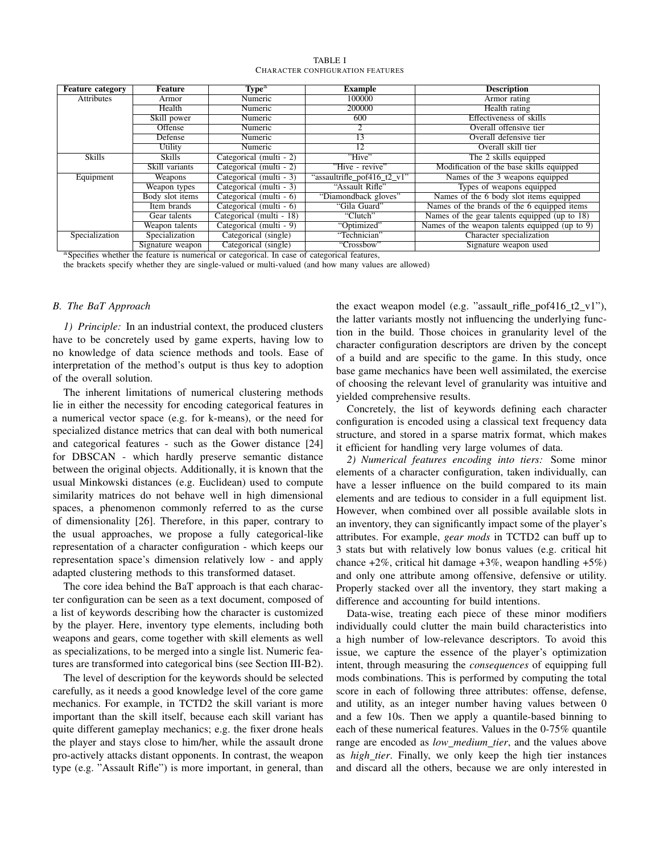| TABLE I                                 |  |
|-----------------------------------------|--|
| <b>CHARACTER CONFIGURATION FEATURES</b> |  |

| <b>Feature category</b> | Feature          | Type <sup>a</sup>          | <b>Example</b>              | <b>Description</b>                             |
|-------------------------|------------------|----------------------------|-----------------------------|------------------------------------------------|
| <b>Attributes</b>       | Armor            | Numeric                    | 100000                      | Armor rating                                   |
|                         | Health           | Numeric                    | 200000                      | Health rating                                  |
|                         | Skill power      | Numeric                    | 600                         | Effectiveness of skills                        |
|                         | Offense          | Numeric                    | 2                           | Overall offensive tier                         |
|                         | Defense          | Numeric                    | 13                          | Overall defensive tier                         |
|                         | <b>Utility</b>   | Numeric                    | $1\overline{2}$             | Overall skill tier                             |
| <b>Skills</b>           | <b>Skills</b>    | Categorical (multi - 2)    | "Hive"                      | The 2 skills equipped                          |
|                         | Skill variants   | Categorical (multi - 2)    | "Hive - revive"             | Modification of the base skills equipped       |
| Equipment               | Weapons          | $Categorical (multi - 3)$  | "assaultrifle pof416 t2 v1" | Names of the 3 weapons equipped                |
|                         | Weapon types     | $Categorical (multi - 3)$  | "Assault Rifle"             | Types of weapons equipped                      |
|                         | Body slot items  | Categorical (multi - $6$ ) | "Diamondback gloves"        | Names of the 6 body slot items equipped        |
|                         | Item brands      | Categorical (multi - 6)    | "Gila Guard"                | Names of the brands of the 6 equipped items    |
|                         | Gear talents     | Categorical (multi - 18)   | "Clutch"                    | Names of the gear talents equipped (up to 18)  |
|                         | Weapon talents   | Categorical (multi - 9)    | "Optimized"                 | Names of the weapon talents equipped (up to 9) |
| Specialization          | Specialization   | Categorical (single)       | "Technician"                | Character specialization                       |
|                         | Signature weapon | Categorical (single)       | "Crossbow"                  | Signature weapon used                          |

<sup>a</sup>Specifies whether the feature is numerical or categorical. In case of categorical features,

the brackets specify whether they are single-valued or multi-valued (and how many values are allowed)

### *B. The BaT Approach*

*1) Principle:* In an industrial context, the produced clusters have to be concretely used by game experts, having low to no knowledge of data science methods and tools. Ease of interpretation of the method's output is thus key to adoption of the overall solution.

The inherent limitations of numerical clustering methods lie in either the necessity for encoding categorical features in a numerical vector space (e.g. for k-means), or the need for specialized distance metrics that can deal with both numerical and categorical features - such as the Gower distance [24] for DBSCAN - which hardly preserve semantic distance between the original objects. Additionally, it is known that the usual Minkowski distances (e.g. Euclidean) used to compute similarity matrices do not behave well in high dimensional spaces, a phenomenon commonly referred to as the curse of dimensionality [26]. Therefore, in this paper, contrary to the usual approaches, we propose a fully categorical-like representation of a character configuration - which keeps our representation space's dimension relatively low - and apply adapted clustering methods to this transformed dataset.

The core idea behind the BaT approach is that each character configuration can be seen as a text document, composed of a list of keywords describing how the character is customized by the player. Here, inventory type elements, including both weapons and gears, come together with skill elements as well as specializations, to be merged into a single list. Numeric features are transformed into categorical bins (see Section III-B2).

The level of description for the keywords should be selected carefully, as it needs a good knowledge level of the core game mechanics. For example, in TCTD2 the skill variant is more important than the skill itself, because each skill variant has quite different gameplay mechanics; e.g. the fixer drone heals the player and stays close to him/her, while the assault drone pro-actively attacks distant opponents. In contrast, the weapon type (e.g. "Assault Rifle") is more important, in general, than the exact weapon model (e.g. "assault\_rifle\_pof416\_t2\_v1"), the latter variants mostly not influencing the underlying function in the build. Those choices in granularity level of the character configuration descriptors are driven by the concept of a build and are specific to the game. In this study, once base game mechanics have been well assimilated, the exercise of choosing the relevant level of granularity was intuitive and yielded comprehensive results.

Concretely, the list of keywords defining each character configuration is encoded using a classical text frequency data structure, and stored in a sparse matrix format, which makes it efficient for handling very large volumes of data.

*2) Numerical features encoding into tiers:* Some minor elements of a character configuration, taken individually, can have a lesser influence on the build compared to its main elements and are tedious to consider in a full equipment list. However, when combined over all possible available slots in an inventory, they can significantly impact some of the player's attributes. For example, *gear mods* in TCTD2 can buff up to 3 stats but with relatively low bonus values (e.g. critical hit chance  $+2\%$ , critical hit damage  $+3\%$ , weapon handling  $+5\%$ ) and only one attribute among offensive, defensive or utility. Properly stacked over all the inventory, they start making a difference and accounting for build intentions.

Data-wise, treating each piece of these minor modifiers individually could clutter the main build characteristics into a high number of low-relevance descriptors. To avoid this issue, we capture the essence of the player's optimization intent, through measuring the *consequences* of equipping full mods combinations. This is performed by computing the total score in each of following three attributes: offense, defense, and utility, as an integer number having values between 0 and a few 10s. Then we apply a quantile-based binning to each of these numerical features. Values in the 0-75% quantile range are encoded as *low medium tier*, and the values above as *high tier*. Finally, we only keep the high tier instances and discard all the others, because we are only interested in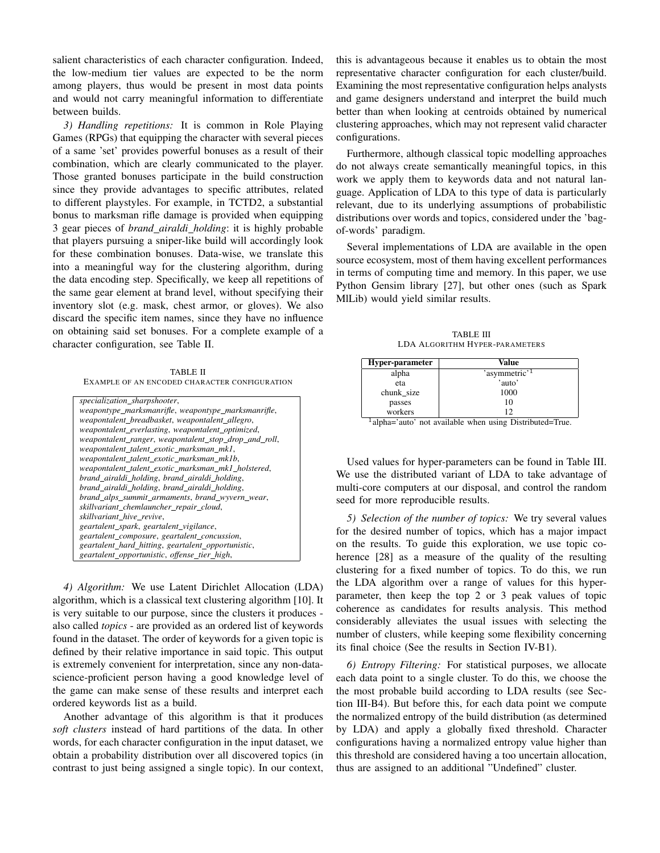salient characteristics of each character configuration. Indeed, the low-medium tier values are expected to be the norm among players, thus would be present in most data points and would not carry meaningful information to differentiate between builds.

*3) Handling repetitions:* It is common in Role Playing Games (RPGs) that equipping the character with several pieces of a same 'set' provides powerful bonuses as a result of their combination, which are clearly communicated to the player. Those granted bonuses participate in the build construction since they provide advantages to specific attributes, related to different playstyles. For example, in TCTD2, a substantial bonus to marksman rifle damage is provided when equipping 3 gear pieces of *brand airaldi holding*: it is highly probable that players pursuing a sniper-like build will accordingly look for these combination bonuses. Data-wise, we translate this into a meaningful way for the clustering algorithm, during the data encoding step. Specifically, we keep all repetitions of the same gear element at brand level, without specifying their inventory slot (e.g. mask, chest armor, or gloves). We also discard the specific item names, since they have no influence on obtaining said set bonuses. For a complete example of a character configuration, see Table II.

TABLE II EXAMPLE OF AN ENCODED CHARACTER CONFIGURATION

| specialization_sharpshooter,                          |
|-------------------------------------------------------|
| weapontype_marksmanrifle, weapontype_marksmanrifle,   |
| weapontalent breadbasket, weapontalent allegro,       |
| weapontalent_everlasting, weapontalent_optimized,     |
| weapontalent_ranger, weapontalent_stop_drop_and_roll, |
| weapontalent_talent_exotic_marksman_mk1,              |
| weapontalent_talent_exotic_marksman_mk1b,             |
| weapontalent talent exotic marksman mkl holstered,    |
| brand_airaldi_holding, brand_airaldi_holding,         |
| brand_airaldi_holding, brand_airaldi_holding,         |
| brand_alps_summit_armaments, brand_wyvern_wear,       |
| skillvariant chemlauncher repair cloud,               |
| skillvariant hive revive,                             |
| geartalent spark, geartalent vigilance,               |
| geartalent_composure, geartalent_concussion,          |
| geartalent_hard_hitting, geartalent_opportunistic,    |
| geartalent_opportunistic, offense_tier_high,          |
|                                                       |

*4) Algorithm:* We use Latent Dirichlet Allocation (LDA) algorithm, which is a classical text clustering algorithm [10]. It is very suitable to our purpose, since the clusters it produces also called *topics* - are provided as an ordered list of keywords found in the dataset. The order of keywords for a given topic is defined by their relative importance in said topic. This output is extremely convenient for interpretation, since any non-datascience-proficient person having a good knowledge level of the game can make sense of these results and interpret each ordered keywords list as a build.

Another advantage of this algorithm is that it produces *soft clusters* instead of hard partitions of the data. In other words, for each character configuration in the input dataset, we obtain a probability distribution over all discovered topics (in contrast to just being assigned a single topic). In our context,

this is advantageous because it enables us to obtain the most representative character configuration for each cluster/build. Examining the most representative configuration helps analysts and game designers understand and interpret the build much better than when looking at centroids obtained by numerical clustering approaches, which may not represent valid character configurations.

Furthermore, although classical topic modelling approaches do not always create semantically meaningful topics, in this work we apply them to keywords data and not natural language. Application of LDA to this type of data is particularly relevant, due to its underlying assumptions of probabilistic distributions over words and topics, considered under the 'bagof-words' paradigm.

Several implementations of LDA are available in the open source ecosystem, most of them having excellent performances in terms of computing time and memory. In this paper, we use Python Gensim library [27], but other ones (such as Spark MlLib) would yield similar results.

TABLE III LDA ALGORITHM HYPER-PARAMETERS

| Hyper-parameter                                               | Value                     |  |  |  |  |
|---------------------------------------------------------------|---------------------------|--|--|--|--|
| alpha                                                         | 'asymmetric' <sup>1</sup> |  |  |  |  |
| eta                                                           | 'auto'                    |  |  |  |  |
| chunk size                                                    | 1000                      |  |  |  |  |
| passes                                                        | 10                        |  |  |  |  |
| workers                                                       | 12                        |  |  |  |  |
| $\pm$ alpha='auto' not available when using Distributed=True. |                           |  |  |  |  |

Used values for hyper-parameters can be found in Table III. We use the distributed variant of LDA to take advantage of multi-core computers at our disposal, and control the random seed for more reproducible results.

*5) Selection of the number of topics:* We try several values for the desired number of topics, which has a major impact on the results. To guide this exploration, we use topic coherence [28] as a measure of the quality of the resulting clustering for a fixed number of topics. To do this, we run the LDA algorithm over a range of values for this hyperparameter, then keep the top 2 or 3 peak values of topic coherence as candidates for results analysis. This method considerably alleviates the usual issues with selecting the number of clusters, while keeping some flexibility concerning its final choice (See the results in Section IV-B1).

*6) Entropy Filtering:* For statistical purposes, we allocate each data point to a single cluster. To do this, we choose the the most probable build according to LDA results (see Section III-B4). But before this, for each data point we compute the normalized entropy of the build distribution (as determined by LDA) and apply a globally fixed threshold. Character configurations having a normalized entropy value higher than this threshold are considered having a too uncertain allocation, thus are assigned to an additional "Undefined" cluster.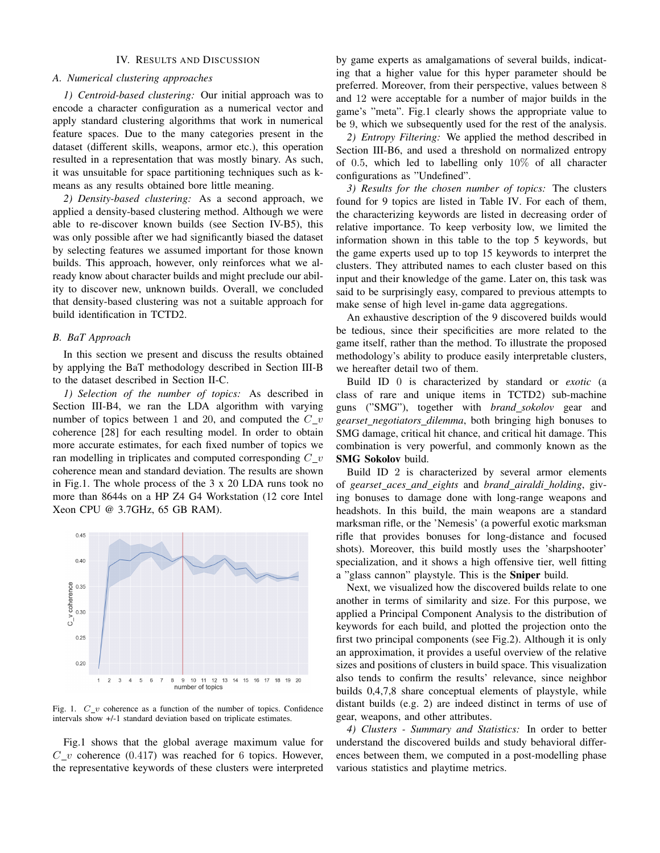## IV. RESULTS AND DISCUSSION

#### *A. Numerical clustering approaches*

*1) Centroid-based clustering:* Our initial approach was to encode a character configuration as a numerical vector and apply standard clustering algorithms that work in numerical feature spaces. Due to the many categories present in the dataset (different skills, weapons, armor etc.), this operation resulted in a representation that was mostly binary. As such, it was unsuitable for space partitioning techniques such as kmeans as any results obtained bore little meaning.

*2) Density-based clustering:* As a second approach, we applied a density-based clustering method. Although we were able to re-discover known builds (see Section IV-B5), this was only possible after we had significantly biased the dataset by selecting features we assumed important for those known builds. This approach, however, only reinforces what we already know about character builds and might preclude our ability to discover new, unknown builds. Overall, we concluded that density-based clustering was not a suitable approach for build identification in TCTD2.

## *B. BaT Approach*

In this section we present and discuss the results obtained by applying the BaT methodology described in Section III-B to the dataset described in Section II-C.

*1) Selection of the number of topics:* As described in Section III-B4, we ran the LDA algorithm with varying number of topics between 1 and 20, and computed the  $C_{v}$ coherence [28] for each resulting model. In order to obtain more accurate estimates, for each fixed number of topics we ran modelling in triplicates and computed corresponding  $C$  v coherence mean and standard deviation. The results are shown in Fig.1. The whole process of the 3 x 20 LDA runs took no more than 8644s on a HP Z4 G4 Workstation (12 core Intel Xeon CPU @ 3.7GHz, 65 GB RAM).



Fig. 1.  $C_{v}$  coherence as a function of the number of topics. Confidence intervals show +/-1 standard deviation based on triplicate estimates.

Fig.1 shows that the global average maximum value for  $C_{v}$  coherence (0.417) was reached for 6 topics. However, the representative keywords of these clusters were interpreted by game experts as amalgamations of several builds, indicating that a higher value for this hyper parameter should be preferred. Moreover, from their perspective, values between 8 and 12 were acceptable for a number of major builds in the game's "meta". Fig.1 clearly shows the appropriate value to be 9, which we subsequently used for the rest of the analysis.

*2) Entropy Filtering:* We applied the method described in Section III-B6, and used a threshold on normalized entropy of 0.5, which led to labelling only 10% of all character configurations as "Undefined".

*3) Results for the chosen number of topics:* The clusters found for 9 topics are listed in Table IV. For each of them, the characterizing keywords are listed in decreasing order of relative importance. To keep verbosity low, we limited the information shown in this table to the top 5 keywords, but the game experts used up to top 15 keywords to interpret the clusters. They attributed names to each cluster based on this input and their knowledge of the game. Later on, this task was said to be surprisingly easy, compared to previous attempts to make sense of high level in-game data aggregations.

An exhaustive description of the 9 discovered builds would be tedious, since their specificities are more related to the game itself, rather than the method. To illustrate the proposed methodology's ability to produce easily interpretable clusters, we hereafter detail two of them.

Build ID 0 is characterized by standard or *exotic* (a class of rare and unique items in TCTD2) sub-machine guns ("SMG"), together with *brand sokolov* gear and *gearset negotiators dilemma*, both bringing high bonuses to SMG damage, critical hit chance, and critical hit damage. This combination is very powerful, and commonly known as the SMG Sokolov build.

Build ID 2 is characterized by several armor elements of *gearset aces and eights* and *brand airaldi holding*, giving bonuses to damage done with long-range weapons and headshots. In this build, the main weapons are a standard marksman rifle, or the 'Nemesis' (a powerful exotic marksman rifle that provides bonuses for long-distance and focused shots). Moreover, this build mostly uses the 'sharpshooter' specialization, and it shows a high offensive tier, well fitting a "glass cannon" playstyle. This is the Sniper build.

Next, we visualized how the discovered builds relate to one another in terms of similarity and size. For this purpose, we applied a Principal Component Analysis to the distribution of keywords for each build, and plotted the projection onto the first two principal components (see Fig.2). Although it is only an approximation, it provides a useful overview of the relative sizes and positions of clusters in build space. This visualization also tends to confirm the results' relevance, since neighbor builds 0,4,7,8 share conceptual elements of playstyle, while distant builds (e.g. 2) are indeed distinct in terms of use of gear, weapons, and other attributes.

*4) Clusters - Summary and Statistics:* In order to better understand the discovered builds and study behavioral differences between them, we computed in a post-modelling phase various statistics and playtime metrics.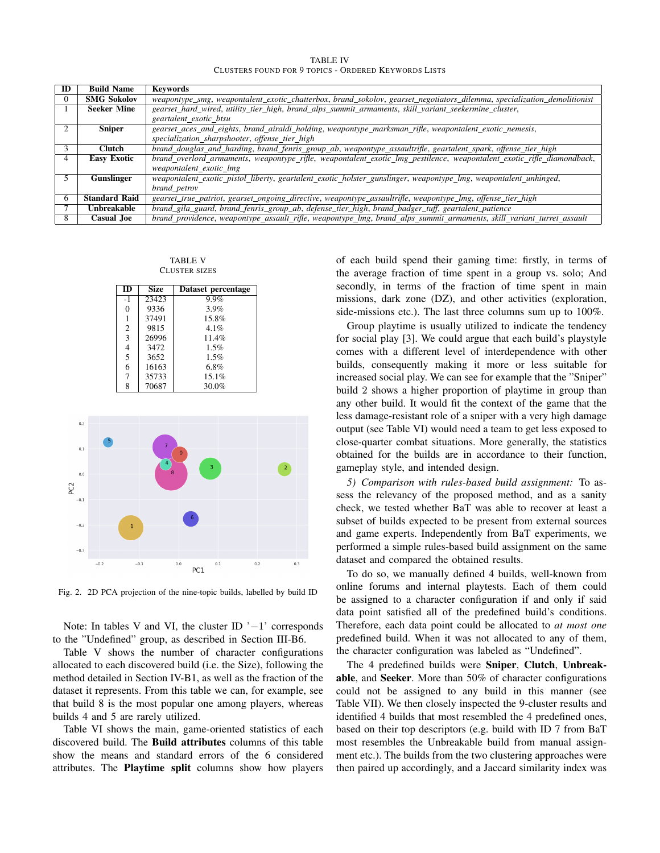TABLE IV CLUSTERS FOUND FOR 9 TOPICS - ORDERED KEYWORDS LISTS

| ID           | <b>Build Name</b>    | <b>Keywords</b>                                                                                                          |
|--------------|----------------------|--------------------------------------------------------------------------------------------------------------------------|
| 0            | <b>SMG Sokolov</b>   | weapontype_smg, weapontalent_exotic_chatterbox, brand_sokolov, gearset_negotiators_dilemma, specialization_demolitionist |
|              | <b>Seeker Mine</b>   | gearset_hard_wired, utility_tier_high, brand_alps_summit_armaments, skill_variant_seekermine_cluster,                    |
|              |                      | geartalent_exotic_btsu                                                                                                   |
|              | <b>Sniper</b>        | gearset_aces_and_eights, brand_airaldi_holding, weapontype_marksman_rifle, weapontalent_exotic_nemesis,                  |
|              |                      | specialization_sharpshooter, offense_tier_high                                                                           |
|              | Clutch               | brand_douglas_and_harding, brand_fenris_group_ab, weapontype_assaultrifle, geartalent_spark, offense_tier_high           |
| 4            | <b>Easy Exotic</b>   | brand_overlord_armaments, weapontype_rifle, weapontalent_exotic_lmg_pestilence, weapontalent_exotic_rifle_diamondback,   |
|              |                      | weapontalent_exotic_lmg                                                                                                  |
|              | <b>Gunslinger</b>    | weapontalent_exotic_pistol_liberty, geartalent_exotic_holster_gunslinger, weapontype_lmg, weapontalent_unhinged,         |
|              |                      | brand petrov                                                                                                             |
| <sub>0</sub> | <b>Standard Raid</b> | gearset_true_patriot, gearset_ongoing_directive, weapontype_assaultrifle, weapontype_lmg, offense_tier_high              |
|              | Unbreakable          | brand_gila_guard, brand_fenris_group_ab, defense_tier_high, brand_badger_tuff, geartalent_patience                       |
|              | Casual Joe           | brand_providence, weapontype_assault_rifle, weapontype_lmg, brand_alps_summit_armaments, skill_variant_turret_assault    |

TABLE V CLUSTER SIZES

| m              | <b>Size</b> | Dataset percentage |
|----------------|-------------|--------------------|
| -1             | 23423       | 9.9%               |
| $\Omega$       | 9336        | 3.9%               |
| 1              | 37491       | 15.8%              |
| $\overline{c}$ | 9815        | 4.1%               |
| 3              | 26996       | 11.4%              |
| $\overline{4}$ | 3472        | 1.5%               |
| 5              | 3652        | 1.5%               |
| 6              | 16163       | 6.8%               |
| 7              | 35733       | 15.1%              |
| 8              | 70687       | 30.0%              |



Fig. 2. 2D PCA projection of the nine-topic builds, labelled by build ID

Note: In tables V and VI, the cluster ID '−1' corresponds to the "Undefined" group, as described in Section III-B6.

Table V shows the number of character configurations allocated to each discovered build (i.e. the Size), following the method detailed in Section IV-B1, as well as the fraction of the dataset it represents. From this table we can, for example, see that build 8 is the most popular one among players, whereas builds 4 and 5 are rarely utilized.

Table VI shows the main, game-oriented statistics of each discovered build. The Build attributes columns of this table show the means and standard errors of the 6 considered attributes. The Playtime split columns show how players of each build spend their gaming time: firstly, in terms of the average fraction of time spent in a group vs. solo; And secondly, in terms of the fraction of time spent in main missions, dark zone (DZ), and other activities (exploration, side-missions etc.). The last three columns sum up to 100%.

Group playtime is usually utilized to indicate the tendency for social play [3]. We could argue that each build's playstyle comes with a different level of interdependence with other builds, consequently making it more or less suitable for increased social play. We can see for example that the "Sniper" build 2 shows a higher proportion of playtime in group than any other build. It would fit the context of the game that the less damage-resistant role of a sniper with a very high damage output (see Table VI) would need a team to get less exposed to close-quarter combat situations. More generally, the statistics obtained for the builds are in accordance to their function, gameplay style, and intended design.

*5) Comparison with rules-based build assignment:* To assess the relevancy of the proposed method, and as a sanity check, we tested whether BaT was able to recover at least a subset of builds expected to be present from external sources and game experts. Independently from BaT experiments, we performed a simple rules-based build assignment on the same dataset and compared the obtained results.

To do so, we manually defined 4 builds, well-known from online forums and internal playtests. Each of them could be assigned to a character configuration if and only if said data point satisfied all of the predefined build's conditions. Therefore, each data point could be allocated to *at most one* predefined build. When it was not allocated to any of them, the character configuration was labeled as "Undefined".

The 4 predefined builds were Sniper, Clutch, Unbreakable, and Seeker. More than 50% of character configurations could not be assigned to any build in this manner (see Table VII). We then closely inspected the 9-cluster results and identified 4 builds that most resembled the 4 predefined ones, based on their top descriptors (e.g. build with ID 7 from BaT most resembles the Unbreakable build from manual assignment etc.). The builds from the two clustering approaches were then paired up accordingly, and a Jaccard similarity index was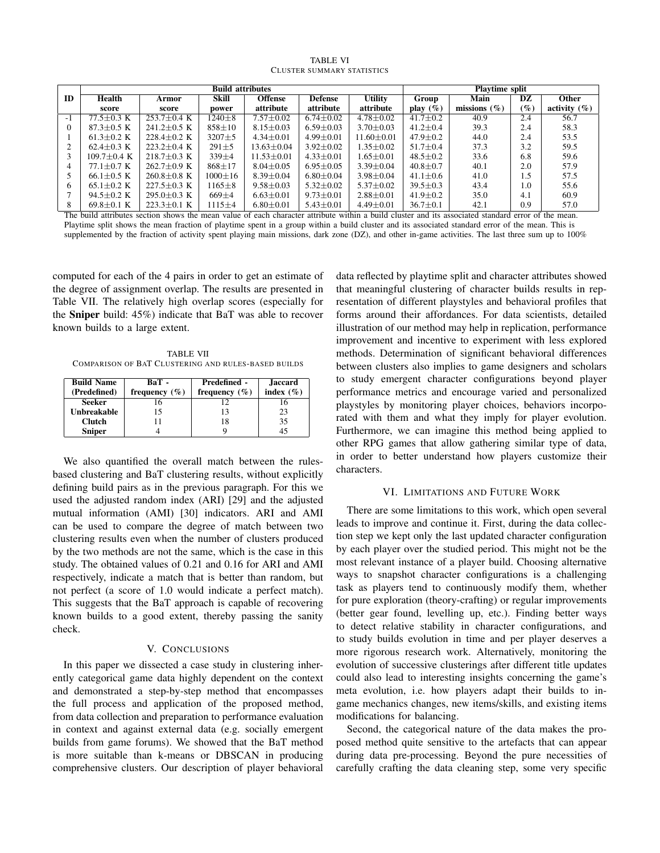TABLE VI CLUSTER SUMMARY STATISTICS

|          | <b>Build attributes</b><br><b>Playtime split</b> |                           |               |                  |                 |                   |                |                  |        |                  |
|----------|--------------------------------------------------|---------------------------|---------------|------------------|-----------------|-------------------|----------------|------------------|--------|------------------|
| ID       | Health                                           | Armor                     | Skill         | <b>Offense</b>   | Defense         | <b>Utility</b>    | Group          | Main             | DZ     | Other            |
|          | score                                            | score                     | power         | attribute        | attribute       | attribute         | play $(\% )$   | missions $(\% )$ | $(\%)$ | activity $(\% )$ |
| - 1      | $77.5 \pm 0.3$ K                                 | $253.7 \pm 0.4 \text{ K}$ | $1240 \pm 8$  | $7.57 \pm 0.02$  | $6.74 \pm 0.02$ | $4.78 \pm 0.02$   | 41.7 $\pm$ 0.2 | 40.9             | 2.4    | 56.7             |
| $\Omega$ | $87.3 \pm 0.5$ K                                 | $241.2 \pm 0.5$ K         | $858 + 10$    | $8.15 \pm 0.03$  | $6.59 \pm 0.03$ | $3.70 \pm 0.03$   | $41.2 \pm 0.4$ | 39.3             | 2.4    | 58.3             |
|          | $61.3 \pm 0.2 \text{ K}$                         | $228.4 \pm 0.2$ K         | $3207 + 5$    | $4.34 \pm 0.01$  | $4.99 \pm 0.01$ | $11.60 \pm 0.01$  | $47.9 \pm 0.2$ | 44.0             | 2.4    | 53.5             |
|          | 62.4 $\pm$ 0.3 K                                 | $223.2 \pm 0.4$ K         | $291 \pm 5$   | $13.63 \pm 0.04$ | $3.92 \pm 0.02$ | $1.35 \pm 0.02$   | $51.7 \pm 0.4$ | 37.3             | 3.2    | 59.5             |
|          | $109.7 \pm 0.4$ K                                | $218.7 \pm 0.3$ K         | $339 \pm 4$   | $11.53 \pm 0.01$ | $4.33 \pm 0.01$ | $1.65 {\pm} 0.01$ | $48.5 \pm 0.2$ | 33.6             | 6.8    | 59.6             |
| 4        | $77.1 \pm 0.7$ K                                 | $262.7 \pm 0.9$ K         | $868 + 17$    | $8.04 \pm 0.05$  | $6.95 \pm 0.05$ | $3.39 \pm 0.04$   | $40.8 \pm 0.7$ | 40.1             | 2.0    | 57.9             |
|          | 66.1 $\pm$ 0.5 K                                 | $260.8 \pm 0.8$ K         | $1000 \pm 16$ | $8.39 \pm 0.04$  | $6.80 \pm 0.04$ | $3.98 \pm 0.04$   | $41.1 \pm 0.6$ | 41.0             | 1.5    | 57.5             |
| 6        | $65.1 \pm 0.2$ K                                 | $227.5 \pm 0.3$ K         | $1165 \pm 8$  | $9.58 \pm 0.03$  | $5.32 \pm 0.02$ | $5.37 \pm 0.02$   | $39.5 \pm 0.3$ | 43.4             | 1.0    | 55.6             |
|          | 94.5 $\pm$ 0.2 K                                 | $295.0 \pm 0.3$ K         | $669 \pm 4$   | $6.63 \pm 0.01$  | $9.73 \pm 0.01$ | $2.88 \pm 0.01$   | 41.9 $\pm$ 0.2 | 35.0             | 4.1    | 60.9             |
| 8        | $69.8 \pm 0.1$ K                                 | $223.3 \pm 0.1$ K         | $1115 \pm 4$  | $6.80 \pm 0.01$  | $5.43 \pm 0.01$ | $4.49 \pm 0.01$   | $36.7 \pm 0.1$ | 42.1             | 0.9    | 57.0             |

The build attributes section shows the mean value of each character attribute within a build cluster and its associated standard error of the mean. Playtime split shows the mean fraction of playtime spent in a group within a build cluster and its associated standard error of the mean. This is supplemented by the fraction of activity spent playing main missions, dark zone (DZ), and other in-game activities. The last three sum up to 100%

computed for each of the 4 pairs in order to get an estimate of the degree of assignment overlap. The results are presented in Table VII. The relatively high overlap scores (especially for the Sniper build: 45%) indicate that BaT was able to recover known builds to a large extent.

TABLE VII COMPARISON OF BAT CLUSTERING AND RULES-BASED BUILDS

| <b>Build Name</b>  | BaT -             | <b>Predefined -</b> | <b>Jaccard</b> |
|--------------------|-------------------|---------------------|----------------|
| (Predefined)       | frequency $(\% )$ | frequency $(\% )$   | index $(\% )$  |
| <b>Seeker</b>      |                   |                     |                |
| <b>Unbreakable</b> | 15                | 13                  | 23             |
| <b>Clutch</b>      |                   | 18                  | 35             |
| <b>Sniper</b>      |                   |                     |                |

We also quantified the overall match between the rulesbased clustering and BaT clustering results, without explicitly defining build pairs as in the previous paragraph. For this we used the adjusted random index (ARI) [29] and the adjusted mutual information (AMI) [30] indicators. ARI and AMI can be used to compare the degree of match between two clustering results even when the number of clusters produced by the two methods are not the same, which is the case in this study. The obtained values of 0.21 and 0.16 for ARI and AMI respectively, indicate a match that is better than random, but not perfect (a score of 1.0 would indicate a perfect match). This suggests that the BaT approach is capable of recovering known builds to a good extent, thereby passing the sanity check.

## V. CONCLUSIONS

In this paper we dissected a case study in clustering inherently categorical game data highly dependent on the context and demonstrated a step-by-step method that encompasses the full process and application of the proposed method, from data collection and preparation to performance evaluation in context and against external data (e.g. socially emergent builds from game forums). We showed that the BaT method is more suitable than k-means or DBSCAN in producing comprehensive clusters. Our description of player behavioral data reflected by playtime split and character attributes showed that meaningful clustering of character builds results in representation of different playstyles and behavioral profiles that forms around their affordances. For data scientists, detailed illustration of our method may help in replication, performance improvement and incentive to experiment with less explored methods. Determination of significant behavioral differences between clusters also implies to game designers and scholars to study emergent character configurations beyond player performance metrics and encourage varied and personalized playstyles by monitoring player choices, behaviors incorporated with them and what they imply for player evolution. Furthermore, we can imagine this method being applied to other RPG games that allow gathering similar type of data, in order to better understand how players customize their characters.

#### VI. LIMITATIONS AND FUTURE WORK

There are some limitations to this work, which open several leads to improve and continue it. First, during the data collection step we kept only the last updated character configuration by each player over the studied period. This might not be the most relevant instance of a player build. Choosing alternative ways to snapshot character configurations is a challenging task as players tend to continuously modify them, whether for pure exploration (theory-crafting) or regular improvements (better gear found, levelling up, etc.). Finding better ways to detect relative stability in character configurations, and to study builds evolution in time and per player deserves a more rigorous research work. Alternatively, monitoring the evolution of successive clusterings after different title updates could also lead to interesting insights concerning the game's meta evolution, i.e. how players adapt their builds to ingame mechanics changes, new items/skills, and existing items modifications for balancing.

Second, the categorical nature of the data makes the proposed method quite sensitive to the artefacts that can appear during data pre-processing. Beyond the pure necessities of carefully crafting the data cleaning step, some very specific